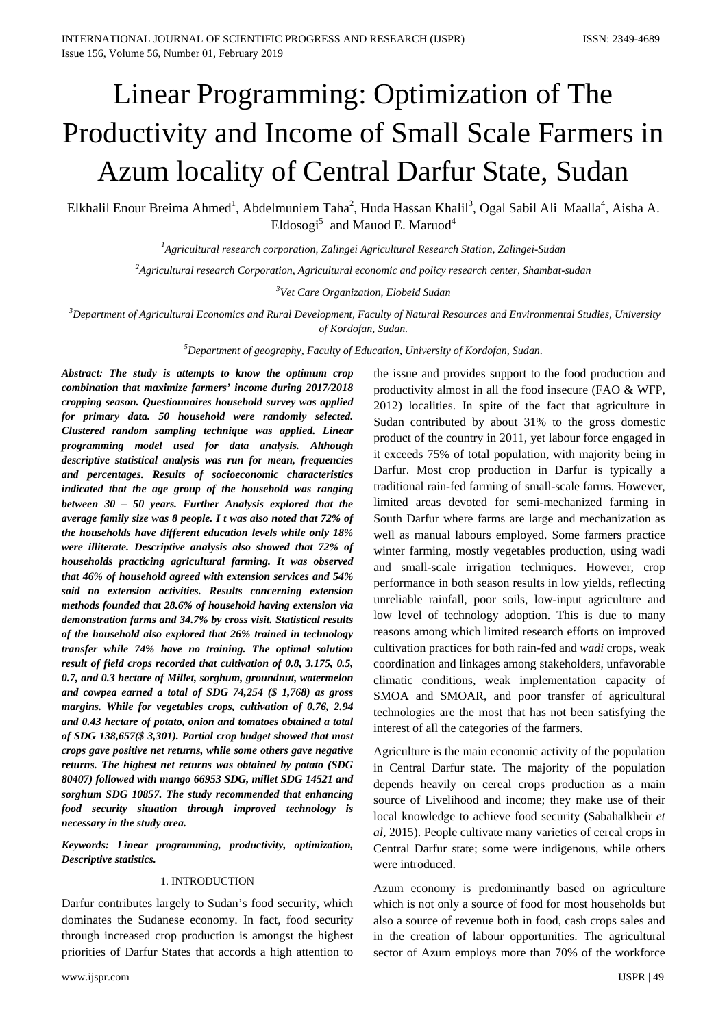# Linear Programming: Optimization of The Productivity and Income of Small Scale Farmers in Azum locality of Central Darfur State, Sudan

Elkhalil Enour Breima Ahmed<sup>1</sup>, Abdelmuniem Taha<sup>2</sup>, Huda Hassan Khalil<sup>3</sup>, Ogal Sabil Ali Maalla<sup>4</sup>, Aisha A. Eldosogi<sup>5</sup> and Mauod E. Maruod<sup>4</sup>

*1 Agricultural research corporation, Zalingei Agricultural Research Station, Zalingei-Sudan*

*2 Agricultural research Corporation, Agricultural economic and policy research center, Shambat-sudan*

*3 Vet Care Organization, Elobeid Sudan*

*3 Department of Agricultural Economics and Rural Development, Faculty of Natural Resources and Environmental Studies, University of Kordofan, Sudan.*

*5 Department of geography, Faculty of Education, University of Kordofan, Sudan*.

*Abstract: The study is attempts to know the optimum crop combination that maximize farmers' income during 2017/2018 cropping season. Questionnaires household survey was applied for primary data. 50 household were randomly selected. Clustered random sampling technique was applied. Linear programming model used for data analysis. Although descriptive statistical analysis was run for mean, frequencies and percentages. Results of socioeconomic characteristics indicated that the age group of the household was ranging between 30 – 50 years. Further Analysis explored that the average family size was 8 people. I t was also noted that 72% of the households have different education levels while only 18% were illiterate. Descriptive analysis also showed that 72% of households practicing agricultural farming. It was observed that 46% of household agreed with extension services and 54% said no extension activities. Results concerning extension methods founded that 28.6% of household having extension via demonstration farms and 34.7% by cross visit. Statistical results of the household also explored that 26% trained in technology transfer while 74% have no training. The optimal solution result of field crops recorded that cultivation of 0.8, 3.175, 0.5, 0.7, and 0.3 hectare of Millet, sorghum, groundnut, watermelon and cowpea earned a total of SDG 74,254 (\$ 1,768) as gross margins. While for vegetables crops, cultivation of 0.76, 2.94 and 0.43 hectare of potato, onion and tomatoes obtained a total of SDG 138,657(\$ 3,301). Partial crop budget showed that most crops gave positive net returns, while some others gave negative returns. The highest net returns was obtained by potato (SDG 80407) followed with mango 66953 SDG, millet SDG 14521 and sorghum SDG 10857. The study recommended that enhancing food security situation through improved technology is necessary in the study area.*

*Keywords: Linear programming, productivity, optimization, Descriptive statistics.*

#### 1. INTRODUCTION

Darfur contributes largely to Sudan's food security, which dominates the Sudanese economy. In fact, food security through increased crop production is amongst the highest priorities of Darfur States that accords a high attention to

the issue and provides support to the food production and productivity almost in all the food insecure (FAO & WFP, 2012) localities. In spite of the fact that agriculture in Sudan contributed by about 31% to the gross domestic product of the country in 2011, yet labour force engaged in it exceeds 75% of total population, with majority being in Darfur. Most crop production in Darfur is typically a traditional rain-fed farming of small-scale farms. However, limited areas devoted for semi-mechanized farming in South Darfur where farms are large and mechanization as well as manual labours employed. Some farmers practice winter farming, mostly vegetables production, using wadi and small-scale irrigation techniques. However, crop performance in both season results in low yields, reflecting unreliable rainfall, poor soils, low-input agriculture and low level of technology adoption. This is due to many reasons among which limited research efforts on improved cultivation practices for both rain-fed and *wadi* crops, weak coordination and linkages among stakeholders, unfavorable climatic conditions, weak implementation capacity of SMOA and SMOAR, and poor transfer of agricultural technologies are the most that has not been satisfying the interest of all the categories of the farmers.

Agriculture is the main economic activity of the population in Central Darfur state. The majority of the population depends heavily on cereal crops production as a main source of Livelihood and income; they make use of their local knowledge to achieve food security (Sabahalkheir *et al,* 2015). People cultivate many varieties of cereal crops in Central Darfur state; some were indigenous, while others were introduced.

Azum economy is predominantly based on agriculture which is not only a source of food for most households but also a source of revenue both in food, cash crops sales and in the creation of labour opportunities. The agricultural sector of Azum employs more than 70% of the workforce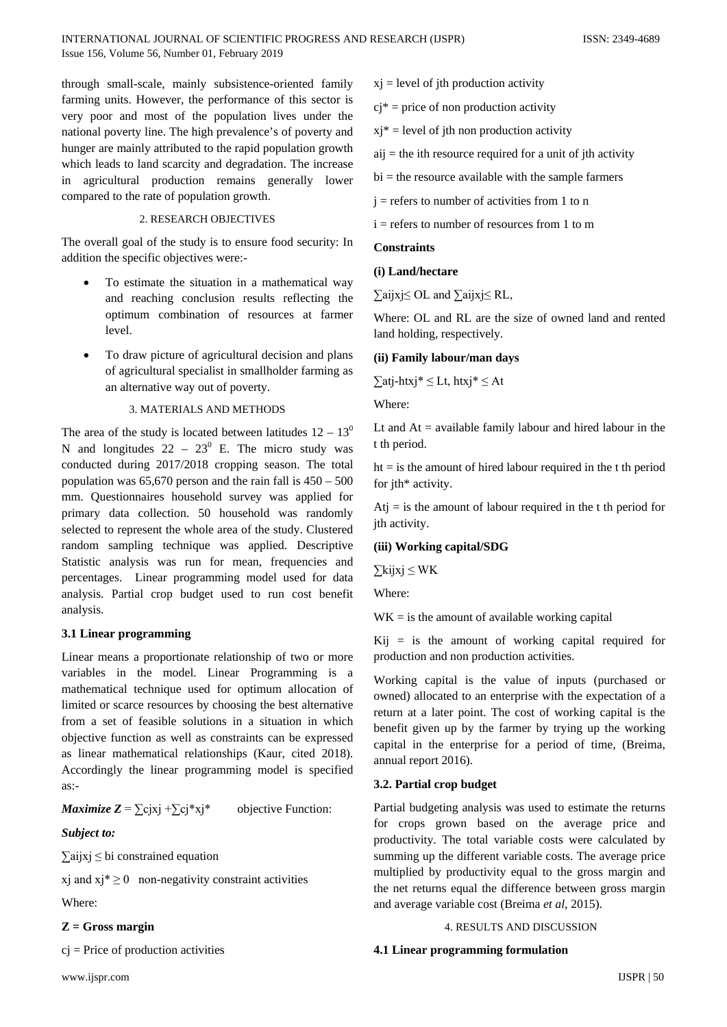through small-scale, mainly subsistence-oriented family farming units. However, the performance of this sector is very poor and most of the population lives under the national poverty line. The high prevalence's of poverty and hunger are mainly attributed to the rapid population growth which leads to land scarcity and degradation. The increase in agricultural production remains generally lower compared to the rate of population growth.

## 2. RESEARCH OBJECTIVES

The overall goal of the study is to ensure food security: In addition the specific objectives were:-

- To estimate the situation in a mathematical way and reaching conclusion results reflecting the optimum combination of resources at farmer level.
- To draw picture of agricultural decision and plans of agricultural specialist in smallholder farming as an alternative way out of poverty.

#### 3. MATERIALS AND METHODS

The area of the study is located between latitudes  $12 - 13<sup>0</sup>$ N and longitudes  $22 - 23^{\circ}$  E. The micro study was conducted during 2017/2018 cropping season. The total population was  $65{,}670$  person and the rain fall is  $450 - 500$ mm. Questionnaires household survey was applied for primary data collection. 50 household was randomly selected to represent the whole area of the study. Clustered random sampling technique was applied. Descriptive Statistic analysis was run for mean, frequencies and percentages. Linear programming model used for data analysis. Partial crop budget used to run cost benefit analysis.

## **3.1 Linear programming**

Linear means a proportionate relationship of two or more variables in the model. Linear Programming is a mathematical technique used for optimum allocation of limited or scarce resources by choosing the best alternative from a set of feasible solutions in a situation in which objective function as well as constraints can be expressed as linear mathematical relationships (Kaur, cited 2018). Accordingly the linear programming model is specified as:-

*Maximize*  $Z = \sum c_i x_i + \sum c_i x_i^*$  objective Function:

## *Subject to:*

∑aijxj ≤ bi constrained equation

xj and  $xi^* \ge 0$  non-negativity constraint activities

Where:

## **Z = Gross margin**

 $ci = Price of production activities$ 

- $xj$  = level of jth production activity
- $ci^*$  = price of non production activity
- $xi^*$  = level of jth non production activity
- $aij$  = the ith resource required for a unit of jth activity
- $bi =$  the resource available with the sample farmers
- $j =$  refers to number of activities from 1 to n
- $i =$  refers to number of resources from 1 to m

## **Constraints**

#### **(i) Land/hectare**

∑aijxj≤ OL and ∑aijxj≤ RL,

Where: OL and RL are the size of owned land and rented land holding, respectively.

#### **(ii) Family labour/man days**

 $∑atj-htxj*≤Lt, htxj*≤At$ 

Where:

Lt and  $At = \alpha$  available family labour and hired labour in the t th period.

 $ht = is the amount of hired labour required in the t<sub>t</sub> the period$ for jth\* activity.

 $Atj = is the amount of labour required in the t<sub>i</sub>th period for$ jth activity.

### **(iii) Working capital/SDG**

∑kijxj ≤ WK

Where:

 $WK =$  is the amount of available working capital

 $Kij = is$  the amount of working capital required for production and non production activities.

Working capital is the value of inputs (purchased or owned) allocated to an enterprise with the expectation of a return at a later point. The cost of working capital is the benefit given up by the farmer by trying up the working capital in the enterprise for a period of time, (Breima, annual report 2016).

## **3.2. Partial crop budget**

Partial budgeting analysis was used to estimate the returns for crops grown based on the average price and productivity. The total variable costs were calculated by summing up the different variable costs. The average price multiplied by productivity equal to the gross margin and the net returns equal the difference between gross margin and average variable cost (Breima *et al*, 2015).

#### 4. RESULTS AND DISCUSSION

#### **4.1 Linear programming formulation**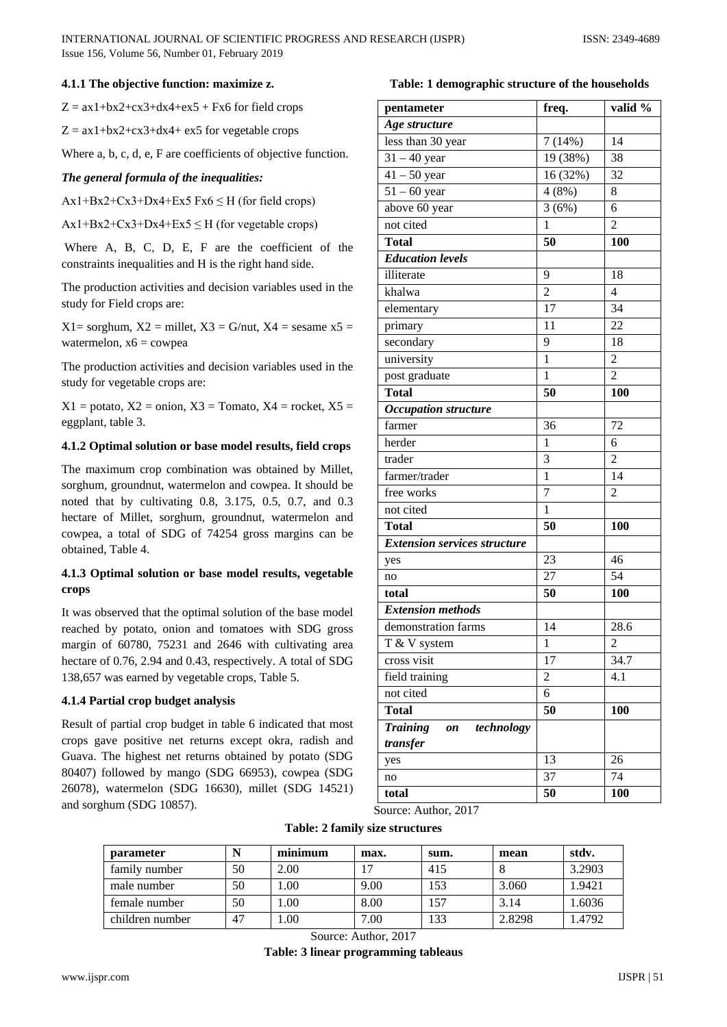## **4.1.1 The objective function: maximize z.**

 $Z = ax1+bx2+cx3+dx4+ex5 + Fx6$  for field crops

 $Z = ax1+bx2+cx3+dx4+ex5$  for vegetable crops

Where a, b, c, d, e, F are coefficients of objective function.

### *The general formula of the inequalities:*

 $Ax1+Bx2+Cx3+Dx4+Ex5 Fx6 \leq H$  (for field crops)

 $Ax1+Bx2+Cx3+Dx4+Ex5 \leq H$  (for vegetable crops)

Where A, B, C, D, E, F are the coefficient of the constraints inequalities and H is the right hand side.

The production activities and decision variables used in the study for Field crops are:

 $X1 =$  sorghum,  $X2 =$  millet,  $X3 = G/$ nut,  $X4 =$  sesame  $x5 =$ watermelon,  $x6 = \text{cowpea}$ 

The production activities and decision variables used in the study for vegetable crops are:

 $X1$  = potato,  $X2$  = onion,  $X3$  = Tomato,  $X4$  = rocket,  $X5$  = eggplant, table 3.

## **4.1.2 Optimal solution or base model results, field crops**

The maximum crop combination was obtained by Millet, sorghum, groundnut, watermelon and cowpea. It should be noted that by cultivating 0.8, 3.175, 0.5, 0.7, and 0.3 hectare of Millet, sorghum, groundnut, watermelon and cowpea, a total of SDG of 74254 gross margins can be obtained, Table 4.

## **4.1.3 Optimal solution or base model results, vegetable crops**

It was observed that the optimal solution of the base model reached by potato, onion and tomatoes with SDG gross margin of 60780, 75231 and 2646 with cultivating area hectare of 0.76, 2.94 and 0.43, respectively. A total of SDG 138,657 was earned by vegetable crops, Table 5.

#### **4.1.4 Partial crop budget analysis**

Result of partial crop budget in table 6 indicated that most crops gave positive net returns except okra, radish and Guava. The highest net returns obtained by potato (SDG 80407) followed by mango (SDG 66953), cowpea (SDG 26078), watermelon (SDG 16630), millet (SDG 14521) and sorghum (SDG 10857).

## **Table: 1 demographic structure of the households**

| Age structure<br>less than 30 year<br>14<br>7(14%)<br>$31 - 40$ year<br>19 (38%)<br>38<br>$41 - 50$ year<br>$\overline{32}$<br>16 (32%)<br>$51 - 60$ year<br>4(8%)<br>8<br>above 60 year<br>3(6%)<br>6<br>not cited<br>$\overline{1}$<br>$\overline{2}$<br><b>Total</b><br>50<br>100<br><b>Education levels</b><br>illiterate<br>9<br>18<br>$\overline{c}$<br>$\overline{4}$<br>khalwa<br>17<br>34<br>elementary<br>11<br>22<br>primary<br>$\overline{9}$<br>18<br>secondary<br>$\mathbf{1}$<br>university<br>$\overline{2}$<br>post graduate<br>1<br>$\overline{2}$<br><b>Total</b><br>50<br>100<br><b>Occupation structure</b><br>farmer<br>72<br>36<br>herder<br>1<br>6<br>$\overline{3}$<br>trader<br>$\overline{c}$<br>farmer/trader<br>$\mathbf{1}$<br>14<br>$\overline{7}$<br>free works<br>$\overline{c}$<br>not cited<br>$\mathbf{1}$<br><b>Total</b><br>50<br>100<br><b>Extension services structure</b><br>23<br>46<br>yes<br>27<br>54<br>no<br>50<br>100<br>total<br><b>Extension methods</b><br>demonstration farms<br>28.6<br>14<br>$\overline{T \& V}$ system<br>$\mathbf{1}$<br>$\overline{c}$<br>17<br>34.7<br>cross visit<br>field training<br>$\overline{c}$<br>4.1<br>6<br>not cited<br><b>Total</b><br>50<br>100<br><b>Training</b><br>technology<br>on<br>transfer<br>13<br>26<br>yes<br>37<br>74<br>no<br>total<br>50<br>100 | pentameter | freq. | valid % |
|-----------------------------------------------------------------------------------------------------------------------------------------------------------------------------------------------------------------------------------------------------------------------------------------------------------------------------------------------------------------------------------------------------------------------------------------------------------------------------------------------------------------------------------------------------------------------------------------------------------------------------------------------------------------------------------------------------------------------------------------------------------------------------------------------------------------------------------------------------------------------------------------------------------------------------------------------------------------------------------------------------------------------------------------------------------------------------------------------------------------------------------------------------------------------------------------------------------------------------------------------------------------------------------------------------------------------------------------------------|------------|-------|---------|
|                                                                                                                                                                                                                                                                                                                                                                                                                                                                                                                                                                                                                                                                                                                                                                                                                                                                                                                                                                                                                                                                                                                                                                                                                                                                                                                                                     |            |       |         |
|                                                                                                                                                                                                                                                                                                                                                                                                                                                                                                                                                                                                                                                                                                                                                                                                                                                                                                                                                                                                                                                                                                                                                                                                                                                                                                                                                     |            |       |         |
|                                                                                                                                                                                                                                                                                                                                                                                                                                                                                                                                                                                                                                                                                                                                                                                                                                                                                                                                                                                                                                                                                                                                                                                                                                                                                                                                                     |            |       |         |
|                                                                                                                                                                                                                                                                                                                                                                                                                                                                                                                                                                                                                                                                                                                                                                                                                                                                                                                                                                                                                                                                                                                                                                                                                                                                                                                                                     |            |       |         |
|                                                                                                                                                                                                                                                                                                                                                                                                                                                                                                                                                                                                                                                                                                                                                                                                                                                                                                                                                                                                                                                                                                                                                                                                                                                                                                                                                     |            |       |         |
|                                                                                                                                                                                                                                                                                                                                                                                                                                                                                                                                                                                                                                                                                                                                                                                                                                                                                                                                                                                                                                                                                                                                                                                                                                                                                                                                                     |            |       |         |
|                                                                                                                                                                                                                                                                                                                                                                                                                                                                                                                                                                                                                                                                                                                                                                                                                                                                                                                                                                                                                                                                                                                                                                                                                                                                                                                                                     |            |       |         |
|                                                                                                                                                                                                                                                                                                                                                                                                                                                                                                                                                                                                                                                                                                                                                                                                                                                                                                                                                                                                                                                                                                                                                                                                                                                                                                                                                     |            |       |         |
|                                                                                                                                                                                                                                                                                                                                                                                                                                                                                                                                                                                                                                                                                                                                                                                                                                                                                                                                                                                                                                                                                                                                                                                                                                                                                                                                                     |            |       |         |
|                                                                                                                                                                                                                                                                                                                                                                                                                                                                                                                                                                                                                                                                                                                                                                                                                                                                                                                                                                                                                                                                                                                                                                                                                                                                                                                                                     |            |       |         |
|                                                                                                                                                                                                                                                                                                                                                                                                                                                                                                                                                                                                                                                                                                                                                                                                                                                                                                                                                                                                                                                                                                                                                                                                                                                                                                                                                     |            |       |         |
|                                                                                                                                                                                                                                                                                                                                                                                                                                                                                                                                                                                                                                                                                                                                                                                                                                                                                                                                                                                                                                                                                                                                                                                                                                                                                                                                                     |            |       |         |
|                                                                                                                                                                                                                                                                                                                                                                                                                                                                                                                                                                                                                                                                                                                                                                                                                                                                                                                                                                                                                                                                                                                                                                                                                                                                                                                                                     |            |       |         |
|                                                                                                                                                                                                                                                                                                                                                                                                                                                                                                                                                                                                                                                                                                                                                                                                                                                                                                                                                                                                                                                                                                                                                                                                                                                                                                                                                     |            |       |         |
|                                                                                                                                                                                                                                                                                                                                                                                                                                                                                                                                                                                                                                                                                                                                                                                                                                                                                                                                                                                                                                                                                                                                                                                                                                                                                                                                                     |            |       |         |
|                                                                                                                                                                                                                                                                                                                                                                                                                                                                                                                                                                                                                                                                                                                                                                                                                                                                                                                                                                                                                                                                                                                                                                                                                                                                                                                                                     |            |       |         |
|                                                                                                                                                                                                                                                                                                                                                                                                                                                                                                                                                                                                                                                                                                                                                                                                                                                                                                                                                                                                                                                                                                                                                                                                                                                                                                                                                     |            |       |         |
|                                                                                                                                                                                                                                                                                                                                                                                                                                                                                                                                                                                                                                                                                                                                                                                                                                                                                                                                                                                                                                                                                                                                                                                                                                                                                                                                                     |            |       |         |
|                                                                                                                                                                                                                                                                                                                                                                                                                                                                                                                                                                                                                                                                                                                                                                                                                                                                                                                                                                                                                                                                                                                                                                                                                                                                                                                                                     |            |       |         |
|                                                                                                                                                                                                                                                                                                                                                                                                                                                                                                                                                                                                                                                                                                                                                                                                                                                                                                                                                                                                                                                                                                                                                                                                                                                                                                                                                     |            |       |         |
|                                                                                                                                                                                                                                                                                                                                                                                                                                                                                                                                                                                                                                                                                                                                                                                                                                                                                                                                                                                                                                                                                                                                                                                                                                                                                                                                                     |            |       |         |
|                                                                                                                                                                                                                                                                                                                                                                                                                                                                                                                                                                                                                                                                                                                                                                                                                                                                                                                                                                                                                                                                                                                                                                                                                                                                                                                                                     |            |       |         |
|                                                                                                                                                                                                                                                                                                                                                                                                                                                                                                                                                                                                                                                                                                                                                                                                                                                                                                                                                                                                                                                                                                                                                                                                                                                                                                                                                     |            |       |         |
|                                                                                                                                                                                                                                                                                                                                                                                                                                                                                                                                                                                                                                                                                                                                                                                                                                                                                                                                                                                                                                                                                                                                                                                                                                                                                                                                                     |            |       |         |
|                                                                                                                                                                                                                                                                                                                                                                                                                                                                                                                                                                                                                                                                                                                                                                                                                                                                                                                                                                                                                                                                                                                                                                                                                                                                                                                                                     |            |       |         |
|                                                                                                                                                                                                                                                                                                                                                                                                                                                                                                                                                                                                                                                                                                                                                                                                                                                                                                                                                                                                                                                                                                                                                                                                                                                                                                                                                     |            |       |         |
|                                                                                                                                                                                                                                                                                                                                                                                                                                                                                                                                                                                                                                                                                                                                                                                                                                                                                                                                                                                                                                                                                                                                                                                                                                                                                                                                                     |            |       |         |
|                                                                                                                                                                                                                                                                                                                                                                                                                                                                                                                                                                                                                                                                                                                                                                                                                                                                                                                                                                                                                                                                                                                                                                                                                                                                                                                                                     |            |       |         |
|                                                                                                                                                                                                                                                                                                                                                                                                                                                                                                                                                                                                                                                                                                                                                                                                                                                                                                                                                                                                                                                                                                                                                                                                                                                                                                                                                     |            |       |         |
|                                                                                                                                                                                                                                                                                                                                                                                                                                                                                                                                                                                                                                                                                                                                                                                                                                                                                                                                                                                                                                                                                                                                                                                                                                                                                                                                                     |            |       |         |
|                                                                                                                                                                                                                                                                                                                                                                                                                                                                                                                                                                                                                                                                                                                                                                                                                                                                                                                                                                                                                                                                                                                                                                                                                                                                                                                                                     |            |       |         |
|                                                                                                                                                                                                                                                                                                                                                                                                                                                                                                                                                                                                                                                                                                                                                                                                                                                                                                                                                                                                                                                                                                                                                                                                                                                                                                                                                     |            |       |         |
|                                                                                                                                                                                                                                                                                                                                                                                                                                                                                                                                                                                                                                                                                                                                                                                                                                                                                                                                                                                                                                                                                                                                                                                                                                                                                                                                                     |            |       |         |
|                                                                                                                                                                                                                                                                                                                                                                                                                                                                                                                                                                                                                                                                                                                                                                                                                                                                                                                                                                                                                                                                                                                                                                                                                                                                                                                                                     |            |       |         |
|                                                                                                                                                                                                                                                                                                                                                                                                                                                                                                                                                                                                                                                                                                                                                                                                                                                                                                                                                                                                                                                                                                                                                                                                                                                                                                                                                     |            |       |         |
|                                                                                                                                                                                                                                                                                                                                                                                                                                                                                                                                                                                                                                                                                                                                                                                                                                                                                                                                                                                                                                                                                                                                                                                                                                                                                                                                                     |            |       |         |
|                                                                                                                                                                                                                                                                                                                                                                                                                                                                                                                                                                                                                                                                                                                                                                                                                                                                                                                                                                                                                                                                                                                                                                                                                                                                                                                                                     |            |       |         |
|                                                                                                                                                                                                                                                                                                                                                                                                                                                                                                                                                                                                                                                                                                                                                                                                                                                                                                                                                                                                                                                                                                                                                                                                                                                                                                                                                     |            |       |         |
|                                                                                                                                                                                                                                                                                                                                                                                                                                                                                                                                                                                                                                                                                                                                                                                                                                                                                                                                                                                                                                                                                                                                                                                                                                                                                                                                                     |            |       |         |
|                                                                                                                                                                                                                                                                                                                                                                                                                                                                                                                                                                                                                                                                                                                                                                                                                                                                                                                                                                                                                                                                                                                                                                                                                                                                                                                                                     |            |       |         |
|                                                                                                                                                                                                                                                                                                                                                                                                                                                                                                                                                                                                                                                                                                                                                                                                                                                                                                                                                                                                                                                                                                                                                                                                                                                                                                                                                     |            |       |         |

**Table: 2 family size structures**

| <i>parameter</i> |    | minimum | max. | sum. | mean   | stdv.  |
|------------------|----|---------|------|------|--------|--------|
| family number    | 50 | 2.00    | 17   | 415  |        | 3.2903 |
| male number      | 50 | 00.1    | 9.00 | 153  | 3.060  | 1.9421 |
| female number    | 50 | 0.00    | 8.00 | 157  | 3.14   | 1.6036 |
| children number  | 47 | 00.1    | 7.00 | 133  | 2.8298 | 1.4792 |

Source: Author, 2017

**Table: 3 linear programming tableaus**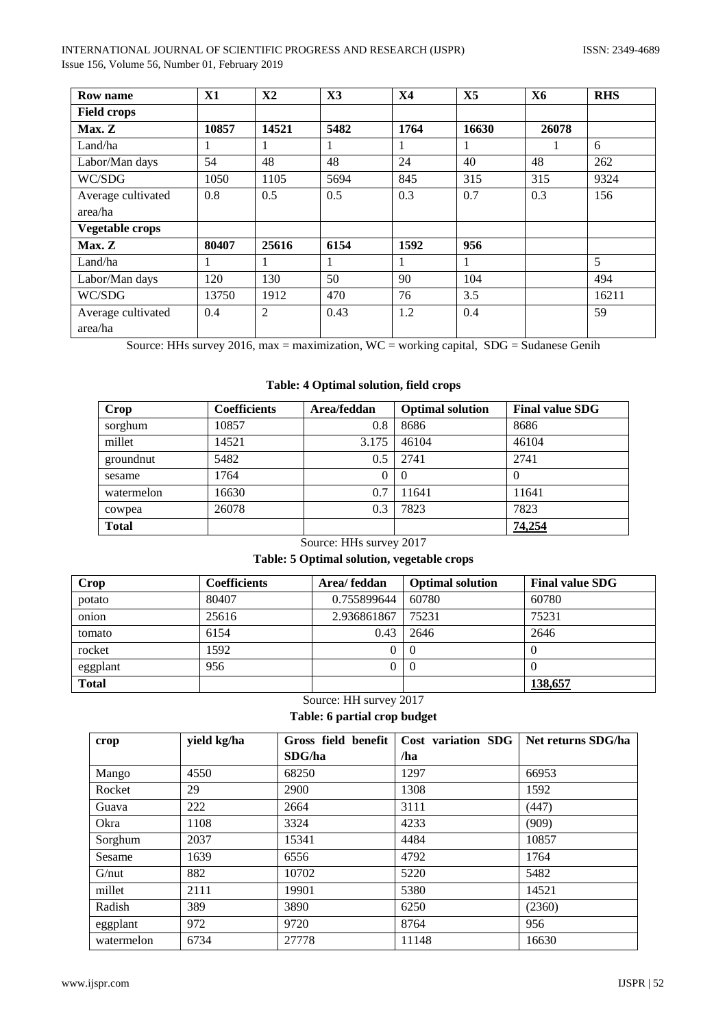| <b>Row name</b>        | X1           | <b>X2</b> | X3   | X <sub>4</sub> | X5    | <b>X6</b> | <b>RHS</b> |
|------------------------|--------------|-----------|------|----------------|-------|-----------|------------|
| <b>Field crops</b>     |              |           |      |                |       |           |            |
| Max. Z                 | 10857        | 14521     | 5482 | 1764           | 16630 | 26078     |            |
| Land/ha                | $\mathbf{I}$ |           |      | 1              | 1     |           | 6          |
| Labor/Man days         | 54           | 48        | 48   | 24             | 40    | 48        | 262        |
| WC/SDG                 | 1050         | 1105      | 5694 | 845            | 315   | 315       | 9324       |
| Average cultivated     | 0.8          | 0.5       | 0.5  | 0.3            | 0.7   | 0.3       | 156        |
| area/ha                |              |           |      |                |       |           |            |
| <b>Vegetable crops</b> |              |           |      |                |       |           |            |
| Max. Z                 | 80407        | 25616     | 6154 | 1592           | 956   |           |            |
| Land/ha                | 1            |           |      |                | 1     |           | 5          |
| Labor/Man days         | 120          | 130       | 50   | 90             | 104   |           | 494        |
| WC/SDG                 | 13750        | 1912      | 470  | 76             | 3.5   |           | 16211      |
| Average cultivated     | 0.4          | 2         | 0.43 | 1.2            | 0.4   |           | 59         |
| area/ha                |              |           |      |                |       |           |            |

Source: HHs survey 2016, max = maximization, WC = working capital, SDG = Sudanese Genih

# **Table: 4 Optimal solution, field crops**

| <b>Crop</b>  | <b>Coefficients</b> | Area/feddan | <b>Optimal solution</b> | <b>Final value SDG</b> |
|--------------|---------------------|-------------|-------------------------|------------------------|
| sorghum      | 10857               | 0.8         | 8686                    | 8686                   |
| millet       | 14521               | 3.175       | 46104                   | 46104                  |
| groundnut    | 5482                | 0.5         | 2741                    | 2741                   |
| sesame       | 1764                | 0           |                         | $\theta$               |
| watermelon   | 16630               | 0.7         | 11641                   | 11641                  |
| cowpea       | 26078               | 0.3         | 7823                    | 7823                   |
| <b>Total</b> |                     |             |                         | 74,254                 |

# Source: HHs survey 2017

# **Table: 5 Optimal solution, vegetable crops**

| Crop         | Coefficients | Area/feddan | <b>Optimal solution</b> | <b>Final value SDG</b> |
|--------------|--------------|-------------|-------------------------|------------------------|
| potato       | 80407        | 0.755899644 | 60780                   | 60780                  |
| onion        | 25616        | 2.936861867 | 75231                   | 75231                  |
| tomato       | 6154         | 0.43        | 2646                    | 2646                   |
| rocket       | 1592         | 0           | -0                      |                        |
| eggplant     | 956          | 0           | $\Omega$                |                        |
| <b>Total</b> |              |             |                         | 138,657                |

# Source: HH survey 2017

# **Table: 6 partial crop budget**

| crop       | yield kg/ha | Gross field benefit | Cost variation SDG | Net returns SDG/ha |
|------------|-------------|---------------------|--------------------|--------------------|
|            |             | SDG/ha              | /ha                |                    |
| Mango      | 4550        | 68250               | 1297               | 66953              |
| Rocket     | 29          | 2900                | 1308               | 1592               |
| Guava      | 222         | 2664                | 3111               | (447)              |
| Okra       | 1108        | 3324                | 4233               | (909)              |
| Sorghum    | 2037        | 15341               | 4484               | 10857              |
| Sesame     | 1639        | 6556                | 4792               | 1764               |
| G/nut      | 882         | 10702               | 5220               | 5482               |
| millet     | 2111        | 19901               | 5380               | 14521              |
| Radish     | 389         | 3890                | 6250               | (2360)             |
| eggplant   | 972         | 9720                | 8764               | 956                |
| watermelon | 6734        | 27778               | 11148              | 16630              |